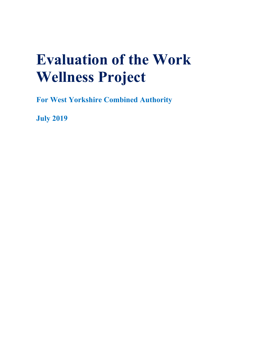# **Evaluation of the Work Wellness Project**

**For West Yorkshire Combined Authority**

**July 2019**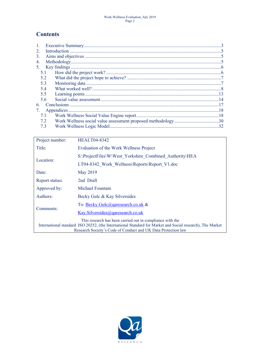## **Contents**

| $\mathbf{1}$ . |    |
|----------------|----|
| 2              |    |
| 3.             |    |
| 4.             |    |
| 5.             |    |
| 5.1            |    |
| 5.2            |    |
| 5.3            |    |
| 5.4            |    |
| 5.5            |    |
| 5.6            |    |
| 6              |    |
| 7.             |    |
| 7.1            |    |
| 72             |    |
| 7.3            | 32 |
|                |    |

| Project number:                                                                                                                                                                                                                         | <b>HEALT04-8342</b>                                     |  |  |  |  |  |
|-----------------------------------------------------------------------------------------------------------------------------------------------------------------------------------------------------------------------------------------|---------------------------------------------------------|--|--|--|--|--|
| Title:                                                                                                                                                                                                                                  | Evaluation of the Work Wellness Project                 |  |  |  |  |  |
| Location:                                                                                                                                                                                                                               | S:\ProjectFiles\W\West Yorkshire Combined Authority\HEA |  |  |  |  |  |
|                                                                                                                                                                                                                                         | LT04-8342 Work Wellness\Reports\Report V1.doc           |  |  |  |  |  |
| Date:                                                                                                                                                                                                                                   | May 2019                                                |  |  |  |  |  |
| Report status:                                                                                                                                                                                                                          | 2nd Draft                                               |  |  |  |  |  |
| Approved by:                                                                                                                                                                                                                            | Michael Fountain                                        |  |  |  |  |  |
| Authors:                                                                                                                                                                                                                                | Becky Gulc & Kay Silversides                            |  |  |  |  |  |
| Comments:                                                                                                                                                                                                                               | To: Becky.Gulc@garesearch.co.uk &                       |  |  |  |  |  |
|                                                                                                                                                                                                                                         | Kay.Silversides@garesearch.co.uk                        |  |  |  |  |  |
| This research has been carried out in compliance with the<br>International standard ISO 20252, (the International Standard for Market and Social research), The Market<br>Research Society's Code of Conduct and UK Data Protection law |                                                         |  |  |  |  |  |

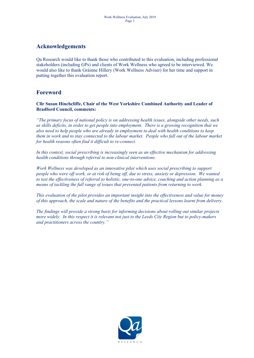## <span id="page-2-0"></span>**Acknowledgements**

Qa Research would like to thank those who contributed to this evaluation, including professional stakeholders (including GPs) and clients of Work Wellness who agreed to be interviewed. We would also like to thank Gráinne Hillery (Work Wellness Adviser) for her time and support in putting together this evaluation report.

## **Foreword**

**Cllr Susan Hinchcliffe, Chair of the West Yorkshire Combined Authority and Leader of Bradford Council, comments:**

*"The primary focus of national policy is on addressing health issues, alongside other needs, such as skills deficits, in order to get people into employment. There is a growing recognition that we also need to help people who are already in employment to deal with health conditions to keep them in work and to stay connected to the labour market. People who fall out of the labour market for health reasons often find it difficult to re-connect.*

*In this context, social prescribing is increasingly seen as an effective mechanism for addressing health conditions through referral to non-clinical interventions.*

*Work Wellness was developed as an innovative pilot which uses social prescribing to support people who were off work, or at risk of being off, due to stress, anxiety or depression. We wanted to test the effectiveness of referral to holistic, one-to-one advice, coaching and action planning as a means of tackling the full range of issues that prevented patients from returning to work.* 

*This evaluation of the pilot provides an important insight into the effectiveness and value for money of this approach, the scale and nature of the benefits and the practical lessons learnt from delivery.*

*The findings will provide a strong basis for informing decisions about rolling out similar projects more widely. In this respect it is relevant not just to the Leeds City Region but to policy-makers and practitioners across the country."*

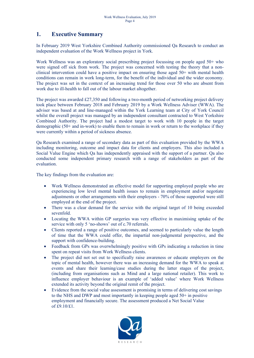## **1. Executive Summary**

In February 2019 West Yorkshire Combined Authority commissioned Qa Research to conduct an independent evaluation of the Work Wellness project in York.

Work Wellness was an exploratory social prescribing project focussing on people aged 50+ who were signed off sick from work. The project was concerned with testing the theory that a nonclinical intervention could have a positive impact on ensuring those aged 50+ with mental health conditions can remain in work long-term, for the benefit of the individual and the wider economy. The project was set in the context of an increasing trend for those over 50 who are absent from work due to ill-health to fall out of the labour market altogether.

The project was awarded £27,350 and following a two-month period of networking project delivery took place between February 2018 and February 2019 by a Work Wellness Adviser (WWA). The adviser was based at and line-managed within the York Learning team at City of York Council whilst the overall project was managed by an independent consultant contracted to West Yorkshire Combined Authority. The project had a modest target to work with 10 people in the target demographic (50+ and in-work) to enable them to remain in work or return to the workplace if they were currently within a period of sickness absence.

Qa Research examined a range of secondary data as part of this evaluation provided by the WWA including monitoring, outcome and impact data for clients and employers. This also included a Social Value Engine which Qa has independently appraised with the support of a partner. Qa also conducted some independent primary research with a range of stakeholders as part of the evaluation.

The key findings from the evaluation are:

- Work Wellness demonstrated an effective model for supporting employed people who are experiencing low level mental health issues to remain in employment and/or negotiate adjustments or other arrangements with their employers - 70% of those supported were still employed at the end of the project.
- There was a clear demand for the service with the original target of 10 being exceeded sevenfold.
- Locating the WWA within GP surgeries was very effective in maximising uptake of the service with only 5 'no-shows' out of c.70 referrals.
- Clients reported a range of positive outcomes, and seemed to particularly value the length of time that the WWA could offer, the impartial non-judgmental perspective, and the support with confidence-building.
- Feedback from GPs was overwhelmingly positive with GPs indicating a reduction in time spent on repeat visits from Work Wellness clients.
- The project did not set out to specifically raise awareness or educate employers on the topic of mental health, however there was an increasing demand for the WWA to speak at events and share their learning/case studies during the latter stages of the project, (including from organisations such as Mind and a large national retailer). This work to influence employer behaviour is an example of 'added value' where Work Wellness extended its activity beyond the original remit of the project.
- Evidence from the social value assessment is promising in terms of delivering cost savings to the NHS and DWP and most importantly in keeping people aged 50+ in positive employment and financially secure. The assessment produced a Net Social Value of  $\hat{\text{E}}9.10/\hat{\text{E}}1$ .

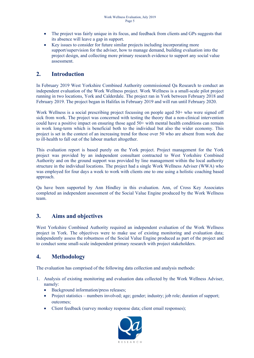- The project was fairly unique in its focus, and feedback from clients and GPs suggests that its absence will leave a gap in support.
- Key issues to consider for future similar projects including incorporating more support/supervision for the adviser, how to manage demand, building evaluation into the project design, and collecting more primary research evidence to support any social value assessment.

## <span id="page-4-0"></span>**2. Introduction**

In February 2019 West Yorkshire Combined Authority commissioned Qa Research to conduct an independent evaluation of the Work Wellness project. Work Wellness is a small-scale pilot project running in two locations, York and Calderdale. The project ran in York between February 2018 and February 2019. The project began in Halifax in February 2019 and will run until February 2020.

Work Wellness is a social prescribing project focussing on people aged 50+ who were signed off sick from work. The project was concerned with testing the theory that a non-clinical intervention could have a positive impact on ensuring those aged 50+ with mental health conditions can remain in work long-term which is beneficial both to the individual but also the wider economy. This project is set in the context of an increasing trend for those over 50 who are absent from work due to ill-health to fall out of the labour market altogether.

This evaluation report is based purely on the York project. Project management for the York project was provided by an independent consultant contracted to West Yorkshire Combined Authority and on the ground support was provided by line management within the local authority structure in the individual locations. The project had a single Work Wellness Adviser (WWA) who was employed for four days a week to work with clients one to one using a holistic coaching based approach.

Qa have been supported by Ann Hindley in this evaluation. Ann, of Cross Key Associates completed an independent assessment of the Social Value Engine produced by the Work Wellness team.

## <span id="page-4-1"></span>**3. Aims and objectives**

West Yorkshire Combined Authority required an independent evaluation of the Work Wellness project in York. The objectives were to make use of existing monitoring and evaluation data; independently assess the robustness of the Social Value Engine produced as part of the project and to conduct some small-scale independent primary research with project stakeholders.

## <span id="page-4-2"></span>**4. Methodology**

The evaluation has comprised of the following data collection and analysis methods:

- 1. Analysis of existing monitoring and evaluation data collected by the Work Wellness Adviser, namely:
	- Background information/press releases;
	- Project statistics numbers involved; age; gender; industry; job role; duration of support; outcomes;
	- Client feedback (survey monkey response data; client email responses);

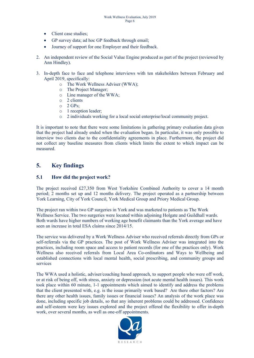- Client case studies;
- GP survey data; ad hoc GP feedback through email;
- Journey of support for one Employer and their feedback.
- 2. An independent review of the Social Value Engine produced as part of the project (reviewed by Ann Hindley).
- 3. In-depth face to face and telephone interviews with ten stakeholders between February and April 2019, specifically:
	- o The Work Wellness Adviser (WWA);
	- o The Project Manager;
	- o Line manager of the WWA;
	- o 2 clients
	- $\circ$  2 GPs;
	- o 1 reception leader;
	- o 2 individuals working for a local social enterprise/local community project.

It is important to note that there were some limitations in gathering primary evaluation data given that the project had already ended when the evaluation began. In particular, it was only possible to interview two clients due to the confidentiality agreements in place. Furthermore, the project did not collect any baseline measures from clients which limits the extent to which impact can be measured.

## <span id="page-5-0"></span>**5. Key findings**

## <span id="page-5-1"></span>**5.1 How did the project work?**

The project received £27,350 from West Yorkshire Combined Authority to cover a 14 month period; 2 months set up and 12 months delivery. The project operated as a partnership between York Learning, City of York Council, York Medical Group and Priory Medical Group.

The project ran within two GP surgeries in York and was marketed to patients as The Work Wellness Service. The two surgeries were located within adjoining Holgate and Guildhall wards. Both wards have higher numbers of working age benefit claimants than the York average and have seen an increase in total ESA claims since 2014/15.

The service was delivered by a Work Wellness Adviser who received referrals directly from GPs or self-referrals via the GP practices. The post of Work Wellness Adviser was integrated into the practices, including room space and access to patient records (for one of the practices only). Work Wellness also received referrals from Local Area Co-ordinators and Ways to Wellbeing and established connections with local mental health, social prescribing, and community groups and services

The WWA used a holistic, adviser/coaching based approach, to support people who were off work, or at risk of being off, with stress, anxiety or depression (not acute mental health issues). This work took place within 60 minute, 1-1 appointments which aimed to identify and address the problems that the client presented with, e.g. is the issue primarily work based? Are there other factors? Are there any other health issues, family issues or financial issues? An analysis of the work place was done, including specific job details, so that any inherent problems could be addressed. Confidence and self-esteem were key issues explored and the project offered the flexibility to offer in-depth work, over several months, as well as one-off appointments.

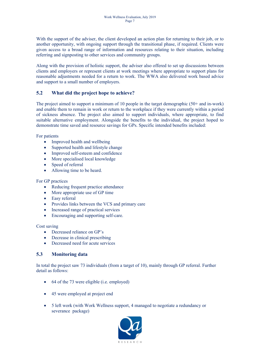With the support of the adviser, the client developed an action plan for returning to their job, or to another opportunity, with ongoing support through the transitional phase, if required. Clients were given access to a broad range of information and resources relating to their situation, including referring and signposting to other services and community groups.

Along with the provision of holistic support, the adviser also offered to set up discussions between clients and employers or represent clients at work meetings where appropriate to support plans for reasonable adjustments needed for a return to work. The WWA also delivered work based advice and support to a small number of employers.

## <span id="page-6-0"></span>**5.2 What did the project hope to achieve?**

The project aimed to support a minimum of 10 people in the target demographic (50+ and in-work) and enable them to remain in work or return to the workplace if they were currently within a period of sickness absence. The project also aimed to support individuals, where appropriate, to find suitable alternative employment. Alongside the benefits to the individual, the project hoped to demonstrate time saved and resource savings for GPs. Specific intended benefits included:

For patients

- Improved health and wellbeing
- Supported health and lifestyle change
- Improved self-esteem and confidence
- More specialised local knowledge
- Speed of referral
- Allowing time to be heard.

For GP practices

- Reducing frequent practice attendance
- More appropriate use of GP time
- Easy referral
- Provides links between the VCS and primary care
- Increased range of practical services
- Encouraging and supporting self-care.

Cost saving

- Decreased reliance on GP's
- Decrease in clinical prescribing
- Decreased need for acute services

#### <span id="page-6-1"></span>**5.3 Monitoring data**

In total the project saw 73 individuals (from a target of 10), mainly through GP referral. Further detail as follows:

- 64 of the 73 were eligible (i.e. employed)
- 45 were employed at project end
- 5 left work (with Work Wellness support, 4 managed to negotiate a redundancy or severance package)

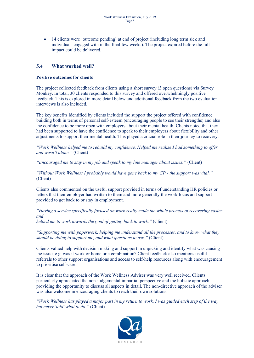• 14 clients were 'outcome pending' at end of project (including long term sick and individuals engaged with in the final few weeks). The project expired before the full impact could be delivered.

## <span id="page-7-0"></span>**5.4 What worked well?**

#### **Positive outcomes for clients**

The project collected feedback from clients using a short survey (3 open questions) via Survey Monkey. In total, 30 clients responded to this survey and offered overwhelmingly positive feedback. This is explored in more detail below and additional feedback from the two evaluation interviews is also included.

The key benefits identified by clients included the support the project offered with confidence building both in terms of personal self-esteem (encouraging people to see their strengths) and also the confidence to be more open with employers about their mental health. Clients noted that they had been supported to have the confidence to speak to their employers about flexibility and other adjustments to support their mental health. This played a crucial role in their journey to recovery.

*"Work Wellness helped me to rebuild my confidence. Helped me realise I had something to offer and wasn't alone."* (Client)

*"Encouraged me to stay in my job and speak to my line manager about issues."* (Client)

*"Without Work Wellness I probably would have gone back to my GP - the support was vital."* (Client)

Clients also commented on the useful support provided in terms of understanding HR policies or letters that their employer had written to them and more generally the work focus and support provided to get back to or stay in employment.

*"Having a service specifically focused on work really made the whole process of recovering easier and*

*helped me to work towards the goal of getting back to work."* (Client)

*"Supporting me with paperwork, helping me understand all the processes, and to know what they should be doing to support me, and what questions to ask."* (Client)

Clients valued help with decision making and support in unpicking and identify what was causing the issue, e.g. was it work or home or a combination? Client feedback also mentions useful referrals to other support organisations and access to self-help resources along with encouragement to prioritise self-care.

It is clear that the approach of the Work Wellness Adviser was very well received. Clients particularly appreciated the non-judgemental impartial perspective and the holistic approach providing the opportunity to discuss all aspects in detail. The non-directive approach of the adviser was also welcome in encouraging clients to reach their own solutions.

"Work Wellness has played a major part in my return to work. I was guided each step of the way *but never 'told' what to do."* (Client)

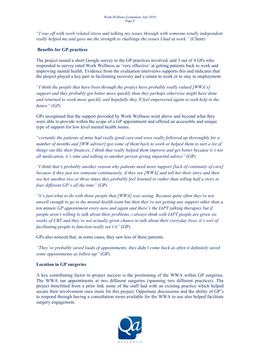*"I was off with work related stress and talking my issues through with someone totally independent really helped me and gave me the strength to challenge the issues I had at work."* (Client)

#### **Benefits for GP practices**

The project issued a short Google survey to the GP practices involved, and 3 out of 4 GPs who responded to survey rated Work Wellness as 'very effective' at getting patients back to work and improving mental health. Evidence from the evaluation interviews supports this and indicates that the project played a key part in facilitating recovery and a return to work or to stay in employment.

*"I think the people that have been through the project have probably really valued [WWA's] support and they probably got better more quickly than they perhaps otherwise might have done and returned to work more quickly and hopefully they'll feel empowered again to seek help in the future" (GP)*

GPs recognised that the support provided by Work Wellness went above and beyond what they were able to provide within the scope of a GP appointment and offered an accessible and unique type of support for low level mental health issues.

*"certainly the patients of mine had really good care and were really followed up thoroughly for a* number of months and [WW adviser] got some of them back to work or helped them to sort a lot of things out like their finances, I think that really helped them improve and get better because it's not *all medication, it's time and talking to another person giving impartial advice"* (GP)

*"I think that's probably another reason why patients need more support [lack of continuity of care] because if they just see someone continuously, if they see [WWA] and tell her their story and then* see her another two or three times they probably feel listened to rather than telling half a story to *four different GP's all the time"* (GP)

*"it's just what to do with those people that [WWA] was seeing. Because quite often they're not* unwell enough to go to the mental health team but then they're not getting any support other than a *ten minute GP appointment every now and again and there's the IAPT talking therapies but if people aren't willing to talk about their problems..i always think with IAPT people are given six* weeks of CBT and they're not actually given chance to talk about their everyday lives, it's sort of *facilitating people to function really isn't it"* (GP)

GPs also noticed that, in some cases, they saw less of these patients.

*"They've probably saved loads of appointments, they didn't come back as often it definitely saved some appointments as follow-up"* (GP)

#### **Location in GP surgeries**

A key contributing factor to project success is the positioning of the WWA within GP surgeries. The WWA ran appointments at two different surgeries (spanning two different practices). The project benefitted from a prior link some of the staff had with an existing practice which helped secure their involvement once more for this project. Opportune discussions and the ability of GP's to respond through having a consultation room available for the WWA to use also helped facilitate surgery engagement.

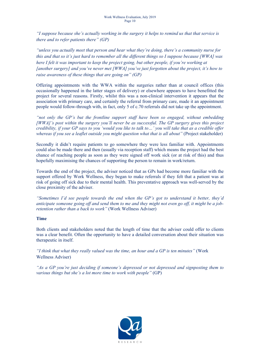"I suppose because she's actually working in the surgery it helps to remind us that that service is *there and to refer patients there" (GP)*

*"unless you actually meet that person and hear what they're doing, there's a community nurse for* this and that so it's just hard to remember all the different things so I suppose because [WWA] was *here I felt it was important to keep the project going, but other people, if you're working at [another surgery] and you've never met [WWA] you've just forgotten about the project, it's how to raise awareness of these things that are going on" (GP)*

Offering appointments with the WWA within the surgeries rather than at council offices (this occasionally happened in the latter stages of delivery) or elsewhere appears to have benefitted the project for several reasons. Firstly, whilst this was a non-clinical intervention it appears that the association with primary care, and certainly the referral from primary care, made it an appointment people would follow-through with, in fact, only 5 of c.70 referrals did not take up the appointment.

*"not only the GP's but the frontline support staff have been so engaged, without embedding [WWA]'s post within the surgery you'll never be as successful. The GP surgery gives this project* credibility, if your GP says to you 'would you like to talk to...' you will take that as a credible offer *whereas if you see a leaflet outside you might question what that is all about"* (Project stakeholder)

Secondly it didn't require patients to go somewhere they were less familiar with. Appointments could also be made there and then (usually via reception staff) which means the project had the best chance of reaching people as soon as they were signed off work sick (or at risk of this) and thus hopefully maximising the chances of supporting the person to remain in work/return.

Towards the end of the project, the adviser noticed that as GPs had become more familiar with the support offered by Work Wellness, they began to make referrals if they felt that a patient was at risk of going off sick due to their mental health. This preventative approach was well-served by the close proximity of the adviser.

*"Sometimes I'd see people towards the end when the GP's got to understand it better, they'd* anticipate someone going off and send them to me and they might not even go off, it might be a job*retention rather than a back to work"* (Work Wellness Adviser)

#### **Time**

Both clients and stakeholders noted that the length of time that the adviser could offer to clients was a clear benefit. Often the opportunity to have a detailed conversation about their situation was therapeutic in itself.

*"I think that what they really valued was the time, an hour and a GP is ten minutes"* (Work Wellness Adviser)

*"As a GP you're just deciding if someone's depressed or not depressed and signposting them to various things but she's a lot more time to work with people"* (GP)

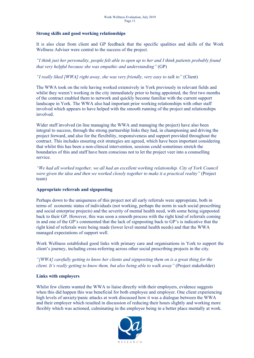#### **Strong skills and good working relationships**

It is also clear from client and GP feedback that the specific qualities and skills of the Work Wellness Adviser were central to the success of the project.

"I think just her personality, people felt able to open up to her and I think patients probably found *that very helpful because she was empathic and understanding"* (GP)

*"I really liked [WWA] right away, she was very friendly, very easy to talk to"* (Client)

The WWA took on the role having worked extensively in York previously in relevant fields and whilst they weren't working in the city immediately prior to being appointed, the first two months of the contract enabled them to network and quickly become familiar with the current support landscape in York. The WWA also had important prior working relationships with other staff involved which appears to have helped with the smooth running of the project and relationships involved.

Wider staff involved (in line managing the WWA and managing the project) have also been integral to success, through the strong partnership links they had, in championing and driving the project forward, and also for the flexibility, responsiveness and support provided throughout the contract. This includes ensuring exit strategies are agreed, which have been important considering that whilst this has been a non-clinical intervention, sessions could sometimes stretch the boundaries of this and staff have been conscious not to let the project veer into a counselling service.

*"We had all worked together, we all had an excellent working relationship. City of York Council were given the idea and then we worked closely together to make it a practical reality"* (Project team)

#### **Appropriate referrals and signposting**

Perhaps down to the uniqueness of this project not all early referrals were appropriate, both in terms of economic status of individuals (not working, perhaps the norm in such social prescribing and social enterprise projects) and the severity of mental health need, with some being signposted back to their GP. However, this was soon a smooth process with the right kind of referrals coming in and one of the GP's commented that the lack of signposting back to GP's is indicative that the right kind of referrals were being made (lower level mental health needs) and that the WWA managed expectations of support well.

Work Wellness established good links with primary care and organisations in York to support the client's journey, including cross-referring across other social prescribing projects in the city.

*"[WWA] carefully getting to know her clients and signposting them on is a great thing for the client. It's really getting to know them, but also being able to walk away"* (Project stakeholder)

#### **Links with employers**

Whilst few clients wanted the WWA to liaise directly with their employers, evidence suggests when this did happen this was beneficial for both employee and employer. One client experiencing high levels of anxiety/panic attacks at work discussed how it was a dialogue between the WWA and their employer which resulted in discussion of reducing their hours slightly and working more flexibly which was actioned, culminating in the employee being in a better place mentally at work.

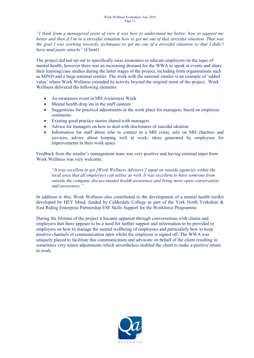"I think from a managerial point of view it was how to understand me better, how to support me better and then if I'm in a stressful situation how to get me out of that stressful situation. That was the goal I was working towards, techniques to get me out of a stressful situation so that I didn't *have mad panic attacks"* (Client)

The project did not set out to specifically raise awareness or educate employers on the topic of mental health, however there was an increasing demand for the WWA to speak at events and share their learning/case studies during the latter stages of the project, including from organisations such as MIND and a large national retailer. The work with the national retailer is an example of 'added value' where Work Wellness extended its activity beyond the original remit of the project. Work Wellness delivered the following elements:

- An awareness event in MH Awareness Week
- Mental health drop ins in the staff canteen
- Suggestions for practical adjustments in the work place for managers, based on employee comments
- Existing good practice stories shared with managers
- Advice for managers on how to deal with disclosures of suicidal ideation
- Information for staff about who to contact in a MH crisis; info on MH charities and services; advice about keeping well at work; ideas generated by employees for improvements in their work space

Feedback from the retailer's management team was very positive and having external input from Work Wellness was very welcome.

*"It was excellent to get [Work Wellness Advisers'] input on outside agencies within the local area that all employees can utilise as well. It was excellent to have someone from outside the company discuss mental health awareness and bring more open conversation and awareness."*

In addition to this, Work Wellness also contributed to the development of a mental health toolkit developed by HEY Mind, funded by Calderdale College as part of the York North Yorkshire & East Riding Enterprise Partnership ESF Skills Support for the Workforce Programme.

During the lifetime of the project it became apparent through conversations with clients and employers that there appears to be a need for further support and information to be provided to employers on how to manage the mental wellbeing of employees and particularly how to keep positive channels of communication open whilst the employee is signed off. The WWA was uniquely placed to facilitate this communication and advocate on behalf of the client resulting in sometimes very minor adjustments which nevertheless enabled the client to make a positive return to work.

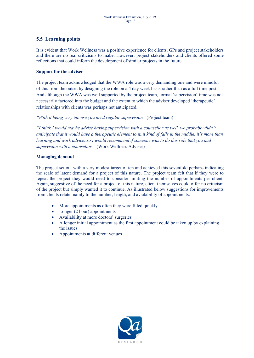## <span id="page-12-0"></span>**5.5 Learning points**

It is evident that Work Wellness was a positive experience for clients, GPs and project stakeholders and there are no real criticisms to make. However, project stakeholders and clients offered some reflections that could inform the development of similar projects in the future.

#### **Support for the adviser**

The project team acknowledged that the WWA role was a very demanding one and were mindful of this from the outset by designing the role on a 4 day week basis rather than as a full time post. And although the WWA was well supported by the project team, formal 'supervision' time was not necessarily factored into the budget and the extent to which the adviser developed 'therapeutic' relationships with clients was perhaps not anticipated.

*"With it being very intense you need regular supervision"* (Project team)

*"I think I would maybe advise having supervision with a counsellor as well, we probably didn't* anticipate that it would have a therapeutic element to it..it kind of falls in the middle, it's more than *learning and work advice..so I would recommend if someone was to do this role that you had supervision with a counsellor."* (Work Wellness Adviser)

#### **Managing demand**

The project set out with a very modest target of ten and achieved this sevenfold perhaps indicating the scale of latent demand for a project of this nature. The project team felt that if they were to repeat the project they would need to consider limiting the number of appointments per client. Again, suggestive of the need for a project of this nature, client themselves could offer no criticism of the project but simply wanted it to continue. As illustrated below suggestions for improvements from clients relate mainly to the number, length, and availability of appointments:

- More appointments as often they were filled quickly
- Longer (2 hour) appointments
- Availability at more doctors' surgeries
- A longer initial appointment as the first appointment could be taken up by explaining the issues
- Appointments at different venues

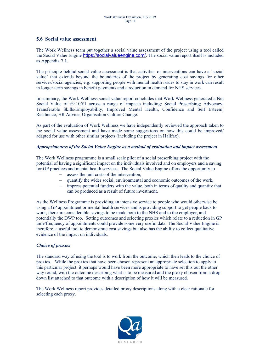#### <span id="page-13-0"></span>**5.6 Social value assessment**

The Work Wellness team put together a social value assessment of the project using a tool called the Social Value Engine [https://socialvalueengine.com/.](https://socialvalueengine.com/) The social value report itself is included as Appendix 7.1.

The principle behind social value assessment is that activities or interventions can have a 'social value' that extends beyond the boundaries of the project by generating cost savings for other services/social agencies, e.g. supporting people with mental health issues to stay in work can result in longer term savings in benefit payments and a reduction in demand for NHS services.

In summary, the Work Wellness social value report concludes that Work Wellness generated a Net Social Value of £9.10/£1 across a range of impacts including: Social Prescribing; Advocacy; Transferable Skills/Employability; Improved Mental Health, Confidence and Self Esteem; Resilience; HR Advice; Organisation Culture Change.

As part of the evaluation of Work Wellness we have independently reviewed the approach taken to the social value assessment and have made some suggestions on how this could be improved/ adapted for use with other similar projects (including the project in Halifax).

#### *Appropriateness of the Social Value Engine as a method of evaluation and impact assessment*

The Work Wellness programme is a small scale pilot of a social prescribing project with the potential of having a significant impact on the individuals involved and on employers and a saving for GP practices and mental health services. The Social Value Engine offers the opportunity to

- assess the unit costs of the intervention,
- $\alpha$  quantify the wider social, environmental and economic outcomes of the work,
- $\overline{\phantom{a}}$  impress potential funders with the value, both in terms of quality and quantity that can be produced as a result of future investment.

As the Wellness Programme is providing an intensive service to people who would otherwise be using a GP appointment or mental health services and is providing support to get people back to work, there are considerable savings to be made both to the NHS and to the employer, and potentially the DWP too. Setting outcomes and selecting proxies which relate to a reduction in GP time/frequency of appointments could provide some very useful data. The Social Value Engine is therefore, a useful tool to demonstrate cost savings but also has the ability to collect qualitative evidence of the impact on individuals.

#### *Choice of proxies*

The standard way of using the tool is to work from the outcome, which then leads to the choice of proxies. While the proxies that have been chosen represent an appropriate selection to apply to this particular project, it perhaps would have been more appropriate to have set this out the other way round, with the outcome describing what is to be measured and the proxy chosen from a drop down list attached to that outcome with a description of how it will be measured.

The Work Wellness report provides detailed proxy descriptions along with a clear rationale for selecting each proxy.

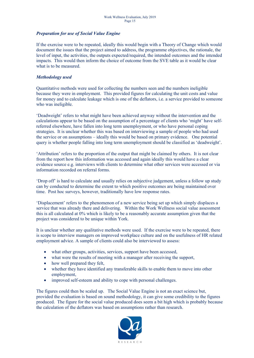#### *Preparation for use of Social Value Engine*

If the exercise were to be repeated, ideally this would begin with a Theory of Change which would document the issues that the project aimed to address, the programme objectives, the rationale, the level of input, the activities, the outputs expected/required, the intended outcomes and the intended impacts. This would then inform the choice of outcome from the SVE table as it would be clear what is to be measured.

#### *Methodology used*

Quantitative methods were used for collecting the numbers seen and the numbers ineligible because they were in employment. This provided figures for calculating the unit costs and value for money and to calculate leakage which is one of the deflators, i.e. a service provided to someone who was ineligible.

'Deadweight' refers to what might have been achieved anyway without the intervention and the calculations appear to be based on the assumption of a percentage of clients who 'might' have selfreferred elsewhere, have fallen into long term unemployment, or who have personal coping strategies. It is unclear whether this was based on interviewing a sample of people who had used the service or on assumptions – ideally this would be based on primary evidence. One potential query is whether people falling into long term unemployment should be classified as 'deadweight'.

'Attribution' refers to the proportion of the output that might be claimed by others. It is not clear from the report how this information was accessed and again ideally this would have a clear evidence source e.g. interviews with clients to determine what other services were accessed or via information recorded on referral forms.

'Drop off' is hard to calculate and usually relies on subjective judgement, unless a follow up study can by conducted to determine the extent to which positive outcomes are being maintained over time. Post hoc surveys, however, traditionally have low response rates.

'Displacement' refers to the phenomenon of a new service being set up which simply displaces a service that was already there and delivering. Within the Work Wellness social value assessment this is all calculated at 0% which is likely to be a reasonably accurate assumption given that the project was considered to be unique within York.

It is unclear whether any qualitative methods were used. If the exercise were to be repeated, there is scope to interview managers on improved workplace culture and on the usefulness of HR related employment advice. A sample of clients could also be interviewed to assess:

- what other groups, activities, services, support have been accessed,
- what were the results of meeting with a manager after receiving the support,
- how well prepared they felt,
- whether they have identified any transferable skills to enable them to move into other employment,
- improved self-esteem and ability to cope with personal challenges.

The figures could then be scaled up. The Social Value Engine is not an exact science but, provided the evaluation is based on sound methodology, it can give some credibility to the figures produced. The figure for the social value produced does seem a bit high which is probably because the calculation of the deflators was based on assumptions rather than research.

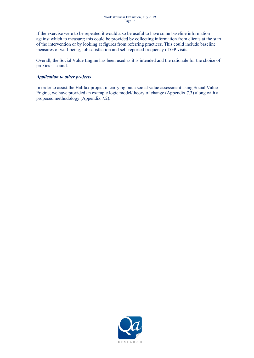If the exercise were to be repeated it would also be useful to have some baseline information against which to measure; this could be provided by collecting information from clients at the start of the intervention or by looking at figures from referring practices. This could include baseline measures of well-being, job satisfaction and self-reported frequency of GP visits.

Overall, the Social Value Engine has been used as it is intended and the rationale for the choice of proxies is sound.

#### *Application to other projects*

In order to assist the Halifax project in carrying out a social value assessment using Social Value Engine, we have provided an example logic model/theory of change (Appendix 7.3) along with a proposed methodology (Appendix 7.2).

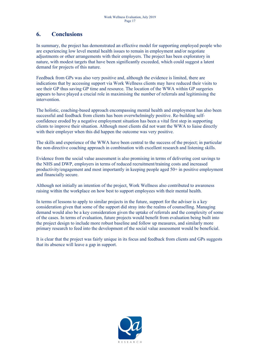## <span id="page-16-0"></span>**6. Conclusions**

In summary, the project has demonstrated an effective model for supporting employed people who are experiencing low level mental health issues to remain in employment and/or negotiate adjustments or other arrangements with their employers. The project has been exploratory in nature, with modest targets that have been significantly exceeded, which could suggest a latent demand for projects of this nature.

Feedback from GPs was also very positive and, although the evidence is limited, there are indications that by accessing support via Work Wellness clients may have reduced their visits to see their GP thus saving GP time and resource. The location of the WWA within GP surgeries appears to have played a crucial role in maximising the number of referrals and legitimising the intervention.

The holistic, coaching-based approach encompassing mental health and employment has also been successful and feedback from clients has been overwhelmingly positive. Re-building selfconfidence eroded by a negative employment situation has been a vital first step in supporting clients to improve their situation. Although most clients did not want the WWA to liaise directly with their employer when this did happen the outcome was very positive.

The skills and experience of the WWA have been central to the success of the project; in particular the non-directive coaching approach in combination with excellent research and listening skills.

Evidence from the social value assessment is also promising in terms of delivering cost savings to the NHS and DWP, employers in terms of reduced recruitment/training costs and increased productivity/engagement and most importantly in keeping people aged 50+ in positive employment and financially secure.

Although not initially an intention of the project, Work Wellness also contributed to awareness raising within the workplace on how best to support employees with their mental health.

In terms of lessons to apply to similar projects in the future, support for the adviser is a key consideration given that some of the support did stray into the realms of counselling. Managing demand would also be a key consideration given the uptake of referrals and the complexity of some of the cases. In terms of evaluation, future projects would benefit from evaluation being built into the project design to include more robust baseline and follow up measures, and similarly more primary research to feed into the development of the social value assessment would be beneficial.

It is clear that the project was fairly unique in its focus and feedback from clients and GPs suggests that its absence will leave a gap in support.

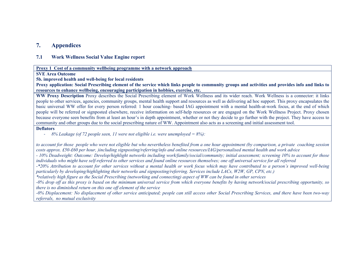## **7. Appendices**

#### **7.1 Work Wellness Social Value Engine report**

#### **Proxy 1****Cost of a community wellbeing programme with a network approach**

**SVE Area Outcome**

#### **5b. improved health and well-being for local residents**

Proxy application: Social Prescribing element of the service which links people to community groups and activities and provides info and links to **resources to enhance wellbeing, encouraging participation in hobbies, exercise, etc.**

WW Proxy Description Proxy describes the Social Prescribing element of Work Wellness and its wider reach. Work Wellness is a connector: it links people to other services, agencies, community groups, mental health support and resources as well as delivering ad hoc support. This proxy encapsulates the basic universal WW offer for every person referred: 1 hour coaching- based IAG appointment with a mental health-at-work focus, at the end of which people will be referred or signposted elsewhere, receive information on self-help resources or are engaged on the Work Wellness Project. Proxy chosen because everyone seen benefits from at least an hour's in depth appointment, whether or not they decide to go further with the project. They have access to community and other groups due to the social prescribing nature of WW. Appointment also acts as a screening and initial assessment tool.

#### **Deflators**

- *8% Leakage (of 72 people seen, 11 were not eligible i.e. were unemployed = 8%):*

<span id="page-17-0"></span>to account for those people who were not eligible but who nevertheless benefited from a one hour appointment (by comparison, a private coaching session costs approx. £50-£60 per hour, )including signposting/referring/info and online resources/*IAG/personalised mental health and work advice* 

- 10% Deadweight: Outcome: Develop/highlight networks including work/family/social/community: initial assessment: screening 10% to account for those individuals who might have self-referred to other services and found online resources themselves; one off universal service for all referred

<span id="page-17-1"></span>-\*20% Attribution to account for other services without a mental health or work focus which may have contributed to a person's improved well-being *particularly by developing/highlighting their networks and signposting/referring. Services include LACs, W2W, GP, CPN, etc.)*

\*relatively high figure as the Social Prescribing (networking and connecting) aspect of WW can be found in other services

-0% drop off as this proxy is based on the minimum universal service from which everyone benefits by having network/social prescribing opportunity, so *there is no diminished return on this one off element of the service*

-0% Displacement: No displacement of other service anticipated; people can still access other Social Prescribing Services, and there have been two-way *referrals, no mutual exclusivity*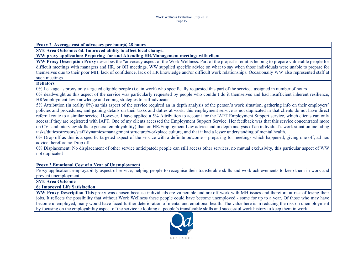**Proxy 2 Average cost of advocacy per hour@ 28 hours**

**SVE Area Outcome: 6d. Improved ability to affect local change.**

**WW proxy application: Preparing for and Attending HR/Management meetings with client**

**WW Proxy Description Proxy** describes the \*advocacy aspect of the Work Wellness. Part of the project's remit is helping to prepare vulnerable people for difficult meetings with managers and HR, or OH meetings. WW supplied specific advice on what to say when those individuals were unable to prepare for themselves due to their poor MH, lack of confidence, lack of HR knowledge and/or difficult work relationships. Occasionally WW also represented staff at such meetings

#### **Deflators**

0% Leakage as proxy only targeted eligible people (i.e. in work) who specifically requested this part of the service, assigned in number of hours

0% deadweight as this aspect of the service was particularly requested by people who couldn't do it themselves and had insufficient inherent resilience, HR/employment law knowledge and coping strategies to self-advocate

5% Attribution (in reality 0%) as this aspect of the service required an in depth analysis of the person's work situation, gathering info on their employers' policies and procedures, and gaining details on their tasks and duties at work: this employment service is not duplicated in that clients do not have direct referral route to a similar service. However, I have applied a 5% Attribution to account for the IAPT Employment Support service, which clients can only access if they are registered with IAPT. One of my clients accessed the Employment Support Service. Her feedback was that this service concentrated more on CVs and interview skills ie general employability) than on HR/Employment Law advice and in depth analysis of an individual's work situation including tasks/duties/stressors/staff dynamics/management structure/workplace culture, and that it had a lesser understanding of mental health.

0% Drop off as this is a specific targeted aspect of the service with a definite outcome – preparing for meetings which happened, giving one off, ad hoc advice therefore no Drop off

0% Displacement: No displacement of other service anticipated; people can still access other services, no mutual exclusivity, this particular aspect of WW not duplicated

#### **Proxy 3 Emotional Cost of a Year of Unemployment**

Proxy application: employability aspect of service; helping people to recognise their transferable skills and work achievements to keep them in work and prevent unemployment

## **SVE Area Outcome**

#### **6e Improved Life Satisfaction**

**WW Proxy Description This** proxy was chosen because individuals are vulnerable and are off work with MH issues and therefore at risk of losing their jobs. It reflects the possibility that without Work Wellness these people could have become unemployed - some for up to a year. Of those who may have become unemployed, many would have faced further deterioration of mental and emotional health. The value here is in reducing the risk on unemployment by focusing on the employability aspect of the service ie looking at people's transferable skills and successful work history to keep them in work

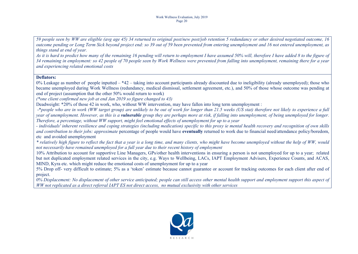59 people seen by WW are eligible (avg age 45) 34 returned to original post/new post/job retention 5 redundancy or other desired negotiated outcome, 16 outcome pending or Long Term Sick beyond project end: so 39 out of 59 been prevented from entering unemployment and 16 not entered unemployment, as *things stand at end of year.*

As it is hard to predict how many of the remaining 16 pending will return to employment I have assumed 50% will, therefore I have added 8 to the figure of 34 remaining in employment: so 42 people of 70 people seen by Work Wellness were prevented from falling into unemployment, remaining there for a year *and experiencing related emotional costs*

#### **Deflators:**

0% Leakage as number of people inputted – \*42 – taking into account participants already discounted due to ineligibility (already unemployed); those who became unemployed during Work Wellness (redundancy, medical dismissal, settlement agreement, etc.), and 50% of those whose outcome was pending at end of project (assumption that the other 50% would return to work)

*(\*one client confirmed new job at end Jan 2019 so figure changed to 43)*

Deadweight: \*20% of those 42 in work, who, without WW intervention, may have fallen into long term unemployment :

-\*people who are in work (WW target group) are unlikely to be out of work for longer than 21.5 weeks (US stat) therefore not likely to experience a full year of unemployment. However, as this is a **vulnerable** group they are perhaps more at risk, if falling into unemployment, of being unemployed for longer. Therefore, a percentage, without WW support, might feel emotional effects of unemployment for up to a year

- individuals' inherent resilience and coping strategies (including medication) specific to this proxy ie mental health recovery and recognition of own skills *and contribution to their jobs: approximate* percentage of people would have **eventually** returned to work due to financial need/attendance policy/boredom, etc and avoided unemployment

\* relatively high figure to reflect the fact that a vear is a long time, and many clients, who might have become unemploved without the help of WW, would *not necessarily have remained unemployed for a full year due to their recent history of employment*

10% Attribution to account for supportive Line Managers, GPs/other health interventions in ensuring a person is not unemployed for up to a year; related but not duplicated employment related services in the city, e.g. Ways to Wellbeing, LACs, IAPT Employment Advisers, Experience Counts, and ACAS, MIND, Kyra etc. which might reduce the emotional costs of unemployment for up to a year

5% Drop off- very difficult to estimate; 5% as a 'token' estimate because cannot guarantee or account for tracking outcomes for each client after end of project.

0% Displacement: No displacement of other service anticipated; people can still access other mental health support and employment support this aspect of WW not replicated as a direct referral IAPT ES not direct access. no mutual exclusivity with other services

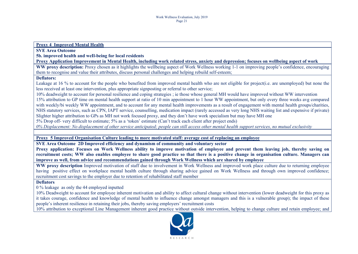**Proxy 4 Improved Mental Health**

**SVE Area Outcome**

**5b. improved health and weIl-being for local residents**

Proxy Application Improvement in Mental Health, including work related stress, anxiety and depression; focuses on wellbeing aspect of work

**WW proxy description:** Proxy chosen as it highlights the wellbeing aspect of Work Wellness working 1-1 on improving people's confidence, encouraging them to recognise and value their attributes, discuss personal challenges and helping rebuild self-esteem;

#### **Deflators:**

Leakage at 16 % to account for the people who benefited from improved mental health who are not eligible for project(i.e. are unemployed) but none the less received at least one intervention, plus appropriate signposting or referral to other service;

10% deadweight to account for personal resilience and coping strategies ; ie those whose general MH would have improved without WW intervention

15% attribution to GP time on mental health support at ratio of 10 min appointment to 1 hour WW appointment, but only every three weeks avg compared with weekly/bi weekly WW appointment, and to account for any mental health improvements as a result of engagement with mental health groups/charities, NHS statutory services, such as CPN, IAPT service, counselling, medication impact (rarely accessed as very long NHS waiting list and expensive if private) Slighter higher attribution to GPs as MH not work focused proxy, and they don't have work specialism but may have MH one

5% Drop off- very difficult to estimate; 5% as a 'token' estimate (Can't track each client after project ends)

0% Displacement: No displacement of other service anticipated; people can still access other mental health support services, no mutual exclusivity

**Proxy 5 Improved Organisation Culture leading to more motivated staff: average cost of replacing an employee**

**SVE Area Outcome 2D Improved efficiency and dynamism of community and voluntary sector**

Proxy application: Focuses on Work Wellness ability to improve motivation of emplovee and prevent them leaving job, thereby saving on recruitment costs; WW also enables employee to share good practice so that there is a positive change in organisation culture. Managers can **improve as well, from advice and recommendations gained through Work Wellness which are shared by employee**

**WW proxy description** Improved motivation of staff due to involvement in Work Wellness and improved work place culture due to returning employee having positive effect on workplace mental health culture through sharing advice gained on Work Wellness and through own improved confidence; recruitment cost savings to the employer due to retention of rehabilitated staff member

#### **Deflators**

0 % leakage as only the 44 employed inputted

10% Deadweight to account for employee inherent motivation and ability to affect cultural change without intervention (lower deadweight for this proxy as it takes courage, confidence and knowledge of mental health to influence change amongst managers and this is a vulnerable group); the impact of these people's inherent resilience in retaining their jobs, thereby saving employers' recruitment costs

10% attribution to exceptional Line Management inherent good practice without outside intervention, helping to change culture and retain employee; and

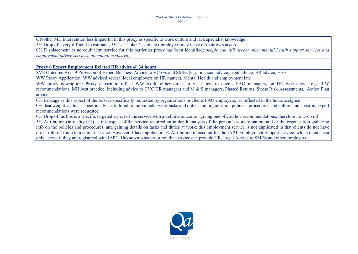GP/other MH intervention less impactful in this proxy as specific to work culture and lack specialist knowledge 5% Drop off- very difficult to estimate; 5% as a 'token' estimate (employees may leave of their own accord 0% Displacement as no equivalent service for this particular proxy has been identified; *people can still access other mental health support services and employment advice services, no mutual exclusivity*

#### **Proxy 6 Expert Employment Related HR advice @ 34 hours**

SVE Outcome Area 9 Provision of Expert Business Advice to VCSEs and SMEs (e.g. financial advice, legal advice, HR advice, HSE WW Proxy Application: WW advised several local employers on HR matters, Mental Health and employment law

WW proxy description: Proxy chosen to reflect WW work, either direct or via letters to clients FAO managers, on HR type advice e.g. RtW recommendations, MH best practice; including advice to CYC HR managers and M & S managers, Phased Returns, Stress Risk Assessments, Action Plan advice

0% Leakage as this aspect of the service specifically requested by organisations or clients FAO employers, as reflected in the hours assigned 0% deadweight as this is specific advice, tailored to individuals' work tasks and duties and organisation policies, procedures and culture and specific, expert recommendations were requested

0% Drop off as this is a specific targeted aspect of the service with a definite outcome –giving one off, ad hoc recommendations, therefore no Drop off 5% Attribution (in reality 0%) as this aspect of the service required an in depth analysis of the person's work situation, and or the organisation gathering info on the policies and procedures, and gaining details on tasks and duties at work: this employment service is not duplicated in that clients do not have direct referral route to a similar service. However, I have applied a 5% Attribution to account for the IAPT Employment Support service, which clients can only access if they are registered with IAPT. Unknown whether or not that service can provide HR, Legal Advice to SMES and other employers

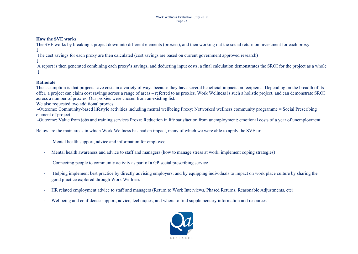#### **How the SVE works**

The SVE works by breaking a project down into different elements (proxies), and then working out the social return on investment for each proxy

↓ The cost savings for each proxy are then calculated (cost savings are based on current government approved research)

↓ A report is then generated combining each proxy's savings, and deducting input costs; a final calculation demonstrates the SROI for the project as a whole ↓

#### **Rationale**

The assumption is that projects save costs in a variety of ways because they have several beneficial impacts on recipients. Depending on the breadth of its offer, a project can claim cost savings across a range of areas – referred to as proxies. Work Wellness is such a holistic project, and can demonstrate SROI across a number of proxies. Our proxies were chosen from an existing list.

We also requested two additional proxies:

-Outcome: Community-based lifestyle activities including mental wellbeing Proxy: Networked wellness community programme = Social Prescribing element of project

-Outcome: Value from jobs and training services Proxy: Reduction in life satisfaction from unemployment: emotional costs of a year of unemployment

Below are the main areas in which Work Wellness has had an impact, many of which we were able to apply the SVE to:

- Mental health support, advice and information for employee
- Mental health awareness and advice to staff and managers (how to manage stress at work, implement coping strategies)
- Connecting people to community activity as part of a GP social prescribing service
- Helping implement best practice by directly advising employers; and by equipping individuals to impact on work place culture by sharing the good practice explored through Work Wellness
- HR related employment advice to staff and managers (Return to Work Interviews, Phased Returns, Reasonable Adjustments, etc)
- Wellbeing and confidence support, advice, techniques; and where to find supplementary information and resources

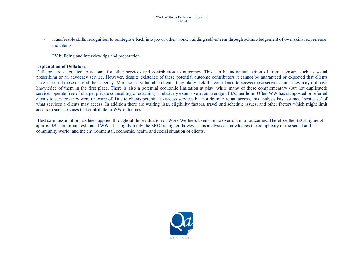- Transferable skills recognition to reintegrate back into job or other work; building self-esteem through acknowledgement of own skills, experience and talents
- CV building and interview tips and preparation

#### **Explanation of Deflators:**

Deflators are calculated to account for other services and contribution to outcomes. This can be individual action of from a group, such as social prescribing or an advocacy service. However, despite existence of these potential outcome contributors it cannot be guaranteed or expected that clients have accessed these or used their agency. More so, as vulnerable clients, they likely lack the confidence to access these services –and they may not have knowledge of them in the first place. There is also a potential economic limitation at play: while many of these complementary (but not duplicated) services operate free of charge, private counselling or coaching is relatively expensive at an average of £55 per hour. Often WW has signposted or referred clients to services they were unaware of. Due to clients potential to access services but not definite actual access, this analysis has assumed 'best case' of what services a clients may access. In addition there are waiting lists, eligibility factors, travel and schedule issues, and other factors which might limit access to such services that contribute to WW outcomes.

'Best case' assumption has been applied throughout this evaluation of Work Wellness to ensure no over-claim of outcomes. Therefore the SROI figure of approx. £9 is minimum estimated WW. It is highly likely the SROI is higher; however this analysis acknowledges the complexity of the social and community world, and the environmental, economic, health and social situation of clients.

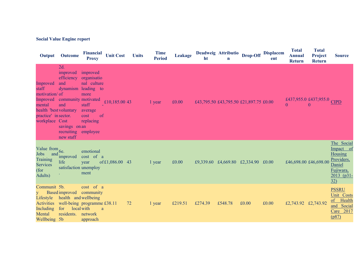## **Social Value Engine report**

| Output                                                                                                                        | <b>Outcome</b>                                                                                                                      | <b>Financial</b><br><b>Proxy</b>                                                                                       | <b>Unit Cost</b> | <b>Units</b> | <b>Time</b><br><b>Period</b> | Leakage | ht      | Deadweig Attributio<br>$\mathbf n$ | Drop-Off                               | <b>Displacem</b><br>ent | <b>Total</b><br><b>Annual</b><br><b>Return</b> | <b>Total</b><br>Project<br><b>Return</b> | <b>Source</b>                                                                                               |
|-------------------------------------------------------------------------------------------------------------------------------|-------------------------------------------------------------------------------------------------------------------------------------|------------------------------------------------------------------------------------------------------------------------|------------------|--------------|------------------------------|---------|---------|------------------------------------|----------------------------------------|-------------------------|------------------------------------------------|------------------------------------------|-------------------------------------------------------------------------------------------------------------|
| Improved<br>staff<br>motivation/ of<br>Improved<br>mental<br>health 'best voluntary<br>practice' in sector.<br>workplace Cost | 2d.<br>improved<br>efficiency<br>and<br>dynamism<br>community motivated<br>and<br>savings on an<br>recruiting employee<br>new staff | improved<br>organisatio<br>nal culture<br>leading to<br>more<br>staff<br>average<br>cost<br><sub>of</sub><br>replacing | £10,185.00 43    |              | 1 year                       | £0.00   |         |                                    | £43,795.50 £43,795.50 £21,897.75 £0.00 |                         | $\theta$                                       | £437,955.0 £437,955.0<br>$\theta$        | <b>CIPD</b>                                                                                                 |
| Value from $_{1}$ 6e.<br><b>Jobs</b><br>and<br><b>Training</b><br>Services<br>(for<br>Adults)                                 | <i>improved</i><br>life<br>satisfaction unemploy                                                                                    | emotional<br>cost of a<br>year<br>ment                                                                                 | of £1,086.00 43  |              | 1 year                       | £0.00   |         |                                    | £9,339.60 £4,669.80 £2,334.90 £0.00    |                         |                                                | £46,698.00 £46,698.00                    | The Social<br>Impact of<br>Housing<br>Providers,<br>Daniel<br>Fujiwara,<br>$2013$ (p31-<br>$\underline{32}$ |
| Communit 5b.<br>Lifestyle<br><b>Activities</b><br><b>Including</b><br>Mental<br>Wellbeing 5b                                  | health and wellbeing<br>for<br>residents. network                                                                                   | cost of a<br>Based improved community<br>well-being programme £38.11<br>local with<br><sub>a</sub><br>approach         |                  | 72           | 1 year                       | £219.51 | £274.39 | £548.78                            | £0.00                                  | £0.00                   | £2,743.92 £2,743.92                            |                                          | <b>PSSRU</b><br>Unit Costs<br>of Health<br>and Social<br>Care 2017<br>(p87)                                 |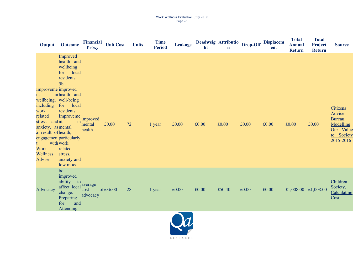#### Work Wellness Evaluation, July 2019 Page 26

| Output                                                                                                                                                       | <b>Outcome</b>                                                                                                                                                                                                                                                                 | <b>Financial</b><br><b>Proxy</b> | <b>Unit Cost</b> | <b>Units</b> | <b>Time</b><br><b>Period</b> | <b>Leakage</b> | ht    | Deadweig Attributio<br>$\mathbf n$ | Drop-Off | <b>Displacem</b><br>ent | <b>Total</b><br><b>Annual</b><br><b>Return</b> | <b>Total</b><br>Project<br><b>Return</b> | <b>Source</b>                                                                                    |
|--------------------------------------------------------------------------------------------------------------------------------------------------------------|--------------------------------------------------------------------------------------------------------------------------------------------------------------------------------------------------------------------------------------------------------------------------------|----------------------------------|------------------|--------------|------------------------------|----------------|-------|------------------------------------|----------|-------------------------|------------------------------------------------|------------------------------------------|--------------------------------------------------------------------------------------------------|
| Improveme improved<br>nt<br><i>including</i><br>work<br>related<br>stress and nt<br>anxiety, as mental<br>a result of health,<br>Work<br>Wellness<br>Adviser | Improved<br>health and<br>wellbeing<br>for local<br>residents<br>5b.<br>in health and<br>wellbeing, well-being<br>for local<br>residents.<br>Improveme improved<br>$\sin$ <sup>1</sup><br>engagemen particularly<br>with work<br>related<br>stress,<br>anxiety and<br>low mood | mental<br>health                 | £0.00            | 72           | 1 year                       | £0.00          | £0.00 | £0.00                              | £0.00    | £0.00                   | £0.00                                          | £0.00                                    | <b>Citizens</b><br><b>Advice</b><br>Bureau,<br>Modelling<br>Our Value<br>to Society<br>2015-2016 |
| Advocacy                                                                                                                                                     | 6d.<br>improved<br>ability to<br>affect local<br>change.<br>Preparing<br>for<br>and<br>Attending                                                                                                                                                                               | average<br>cost<br>advocacy      | of £36.00        | 28           | 1 year                       | £0.00          | £0.00 | £50.40                             | £0.00    | £0.00                   | £1,008.00 £1,008.00                            |                                          | Children<br>Society,<br>Calculating<br>Cost                                                      |

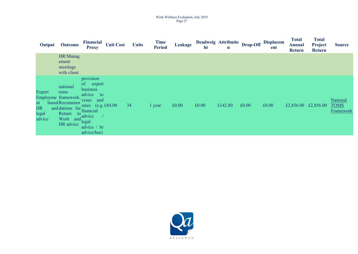#### Work Wellness Evaluation, July 2019 Page 27

| Output                                       | <b>Outcome</b>                                                                                                                                     | <b>Financial</b><br><b>Proxy</b>                                                                                                                     | <b>Unit Cost</b> | <b>Units</b> | <b>Time</b><br><b>Period</b> | <b>Leakage</b> | ht    | Deadweig Attributio<br>$\mathbf n$ | Drop-Off | <b>Displacem</b><br>ent | <b>Total</b><br><b>Annual</b><br><b>Return</b> | <b>Total</b><br>Project<br><b>Return</b> | <b>Source</b>                        |
|----------------------------------------------|----------------------------------------------------------------------------------------------------------------------------------------------------|------------------------------------------------------------------------------------------------------------------------------------------------------|------------------|--------------|------------------------------|----------------|-------|------------------------------------|----------|-------------------------|------------------------------------------------|------------------------------------------|--------------------------------------|
|                                              | HR/Manag<br>ement<br>meetings<br>with client                                                                                                       |                                                                                                                                                      |                  |              |                              |                |       |                                    |          |                         |                                                |                                          |                                      |
| Expert<br>nt<br><b>HR</b><br>legal<br>advice | national<br>toms<br>Employme framework.<br>based Recommen<br>and dations for financial<br>Return<br>$\circ$ to<br>Work and $\int_1^a$<br>HR advice | provision<br>of expert<br>business<br>advice<br>to<br>and<br>vcses<br>smes $(e.g. £84.00)$<br>$\int_a$ advice<br>legal<br>advice / hr<br>advice/hse) |                  | 34           | l year                       | £0.00          | £0.00 | £142.80                            | £0.00    | £0.00                   |                                                | £2,856.00 £2,856.00                      | National<br><b>TOMS</b><br>Framework |

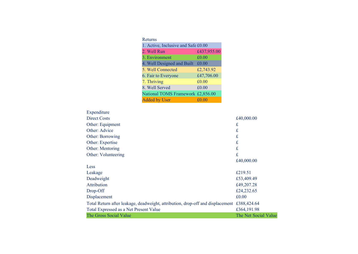| Returns                             |             |
|-------------------------------------|-------------|
| 1. Active, Inclusive and Safe £0.00 |             |
| 2. Well Run                         | £437,955.00 |
| 3. Environment                      | £0.00       |
| 4. Well Designed and Built          | £0.00       |
| 5. Well Connected                   | £2,743.92   |
| 6. Fair to Everyone                 | £47,706.00  |
| 7. Thriving                         | £0.00       |
| 8. Well Served                      | £0.00       |
| National TOMS Framework £2,856.00   |             |
| <b>Added by User</b>                | £0.00       |

| Expenditure                                                                    |                      |
|--------------------------------------------------------------------------------|----------------------|
| Direct Costs                                                                   | £40,000.00           |
| Other: Equipment                                                               | $\mathbf f$          |
| Other: Advice                                                                  | £                    |
| Other: Borrowing                                                               | £                    |
| Other: Expertise                                                               | £                    |
| Other: Mentoring                                                               | £                    |
| Other: Volunteering                                                            | £                    |
|                                                                                | £40,000.00           |
| Less                                                                           |                      |
| Leakage                                                                        | £219.51              |
| Deadweight                                                                     | £53,409.49           |
| Attribution                                                                    | £49,207.28           |
| Drop-Off                                                                       | £24,232.65           |
| Displacement                                                                   | £0.00                |
| Total Return after leakage, deadweight, attribution, drop-off and displacement | £388,424.64          |
| Total Expressed as a Net Present Value                                         | £364,191.98          |
| The Gross Social Value                                                         | The Net Social Value |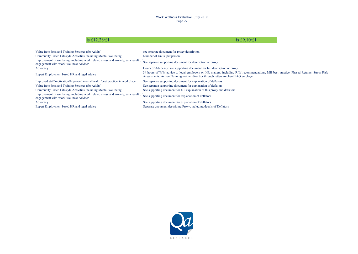## is £12.28/£1 is  $\text{\pounds}9.10/\text{\pounds}1$

| Value from Jobs and Training Services (for Adults)                                                                                                                                     | see separate document for proxy description                                                                                                                                                                                    |
|----------------------------------------------------------------------------------------------------------------------------------------------------------------------------------------|--------------------------------------------------------------------------------------------------------------------------------------------------------------------------------------------------------------------------------|
| Community Based Lifestyle Activities Including Mental Wellbeing                                                                                                                        | Number of Units: per person.                                                                                                                                                                                                   |
| Improvement in wellbeing, including work related stress and anxiety, as a result of See separate supporting document for description of proxy<br>engagement with Work Wellness Adviser |                                                                                                                                                                                                                                |
| Advocacy                                                                                                                                                                               | Hours of Advocacy: see supporting document for full description of proxy                                                                                                                                                       |
| Expert Employment based HR and legal advice                                                                                                                                            | 34 hours of WW advice to local employers on HR matters, including RtW recommendations, MH best practice, Phased Retunrs, Stress Risk<br>Assessments, Action Planning - either direct or through letters to client FAO employer |
| Improved staff motivation/Improved mental health 'best practice' in workplace                                                                                                          | See separate supporting document for explanation of deflators                                                                                                                                                                  |
| Value from Jobs and Training Services (for Adults)                                                                                                                                     | See separate supporting document for explanation of deflators                                                                                                                                                                  |
| Community Based Lifestyle Activities Including Mental Wellbeing                                                                                                                        | See supporting document for full explanation of this proxy and deflators                                                                                                                                                       |
| Improvement in wellbeing, including work related stress and anxiety, as a result of See supporting document for explanation of deflators<br>engagement with Work Wellness Adviser      |                                                                                                                                                                                                                                |
| Advocacy                                                                                                                                                                               | See supporting document for explanation of deflators                                                                                                                                                                           |
| Expert Employment based HR and legal advice                                                                                                                                            | Separate document describing Proxy, including details of Deflators                                                                                                                                                             |

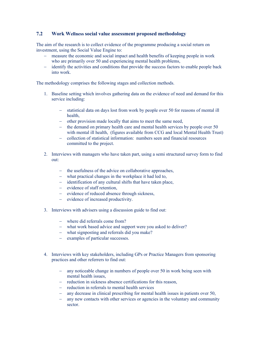### <span id="page-29-0"></span>**7.2 Work Wellness social value assessment proposed methodology**

The aim of the research is to collect evidence of the programme producing a social return on investment, using the Social Value Engine to:

- measure the economic and social impact and health benefits of keeping people in work who are primarily over 50 and experiencing mental health problems,
- identify the activities and conditions that provide the success factors to enable people back into work.

The methodology comprises the following stages and collection methods.

- 1. Baseline setting which involves gathering data on the evidence of need and demand for this service including:
	- statistical data on days lost from work by people over 50 for reasons of mental ill health,
	- other provision made locally that aims to meet the same need,
	- $\epsilon$  the demand on primary health care and mental health services by people over 50 with mental ill health, (figures available from CCG and local Mental Health Trust)
	- collection of statistical information: numbers seen and financial resources committed to the project.
- 2. Interviews with managers who have taken part, using a semi structured survey form to find out:
	- the usefulness of the advice on collaborative approaches.
	- what practical changes in the workplace it had led to,
	- identification of any cultural shifts that have taken place,
	- evidence of staff retention,
	- evidence of reduced absence through sickness.
	- evidence of increased productivity.
- 3. Interviews with advisers using a discussion guide to find out:
	- where did referrals come from?
	- what work based advice and support were you asked to deliver?
	- what signposting and referrals did you make?
	- examples of particular successes.
- 4. Interviews with key stakeholders, including GPs or Practice Managers from sponsoring practices and other referrers to find out:
	- any noticeable change in numbers of people over 50 in work being seen with mental health issues
	- reduction in sickness absence certifications for this reason
	- reduction in referrals to mental health services
	- any decrease in clinical prescribing for mental health issues in patients over 50,
	- any new contacts with other services or agencies in the voluntary and community sector.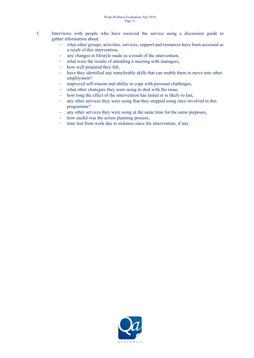- 5. Interviews with people who have received the service using a discussion guide to gather information about:
	- what other groups, activities, services, support and resources have been accessed as a result of this intervention,
	- any changes in lifestyle made as a result of the intervention,
	- what were the results of attending a meeting with managers,
	- how well prepared they felt,
	- have they identified any transferable skills that can enable them to move into other employment?
	- improved self-esteem and ability to cope with personal challenges,
	- what other strategies they were using to deal with the issue,
	- how long the effect of the intervention has lasted or is likely to last,
	- any other services they were using that they stopped using once involved in this programme?
	- any other services they were using at the same time for the same purposes,
	- how useful was the action planning process,
	- time lost from work due to sickness since the intervention, if any.